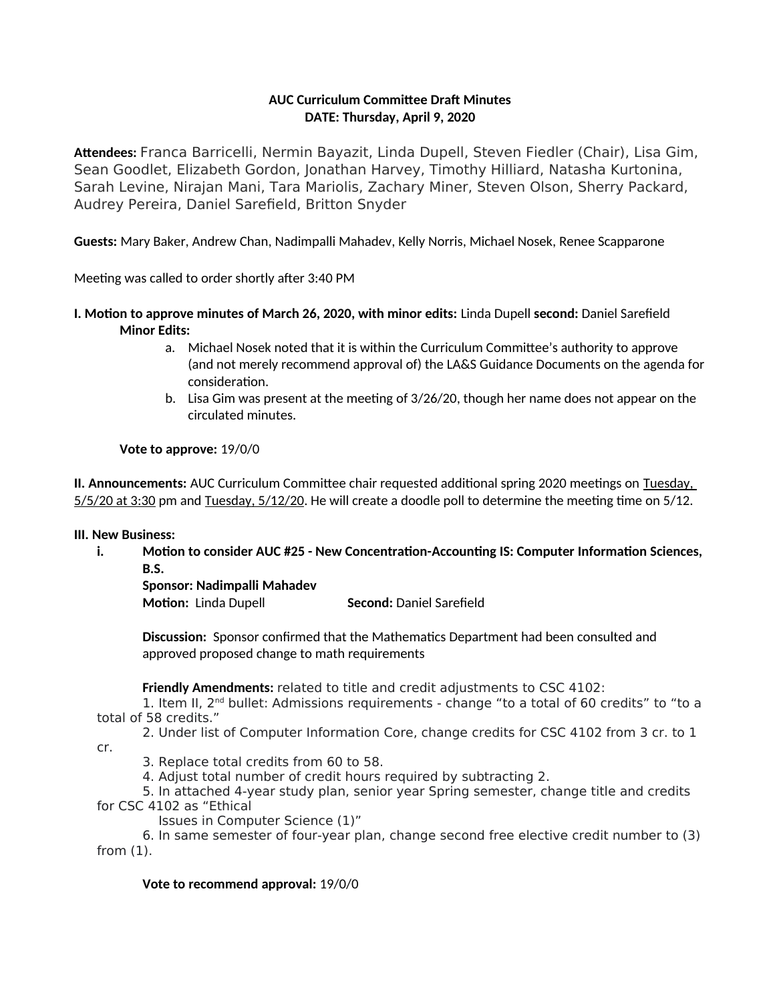### **AUC Curriculum Committee Draft Minutes DATE: Thursday, April 9, 2020**

**Attendees:** Franca Barricelli, Nermin Bayazit, Linda Dupell, Steven Fiedler (Chair), Lisa Gim, Sean Goodlet, Elizabeth Gordon, Jonathan Harvey, Timothy Hilliard, Natasha Kurtonina, Sarah Levine, Nirajan Mani, Tara Mariolis, Zachary Miner, Steven Olson, Sherry Packard, Audrey Pereira, Daniel Sarefield, Britton Snyder

**Guests:** Mary Baker, Andrew Chan, Nadimpalli Mahadev, Kelly Norris, Michael Nosek, Renee Scapparone

Meeting was called to order shortly after 3:40 PM

- **I. Motion to approve minutes of March 26, 2020, with minor edits:** Linda Dupell **second:** Daniel Sarefield **Minor Edits:** 
	- a. Michael Nosek noted that it is within the Curriculum Committee's authority to approve (and not merely recommend approval of) the LA&S Guidance Documents on the agenda for consideration.
	- b. Lisa Gim was present at the meeting of 3/26/20, though her name does not appear on the circulated minutes.

#### **Vote to approve:** 19/0/0

**II. Announcements:** AUC Curriculum Committee chair requested additional spring 2020 meetings on Tuesday, 5/5/20 at 3:30 pm and Tuesday, 5/12/20. He will create a doodle poll to determine the meeting time on 5/12.

#### **III. New Business:**

**i. Motion to consider AUC #25 - New Concentration-Accounting IS: Computer Information Sciences, B.S.**

**Sponsor: Nadimpalli Mahadev**

**Motion:** Linda Dupell **Second:** Daniel Sarefield

**Discussion:** Sponsor confirmed that the Mathematics Department had been consulted and approved proposed change to math requirements

**Friendly Amendments:** related to title and credit adjustments to CSC 4102:

1. Item II, 2<sup>nd</sup> bullet: Admissions requirements - change "to a total of 60 credits" to "to a total of 58 credits."

2. Under list of Computer Information Core, change credits for CSC 4102 from 3 cr. to 1 cr.

3. Replace total credits from 60 to 58.

4. Adjust total number of credit hours required by subtracting 2.

5. In attached 4-year study plan, senior year Spring semester, change title and credits for CSC 4102 as "Ethical

Issues in Computer Science (1)"

6. In same semester of four-year plan, change second free elective credit number to (3) from (1).

#### **Vote to recommend approval:** 19/0/0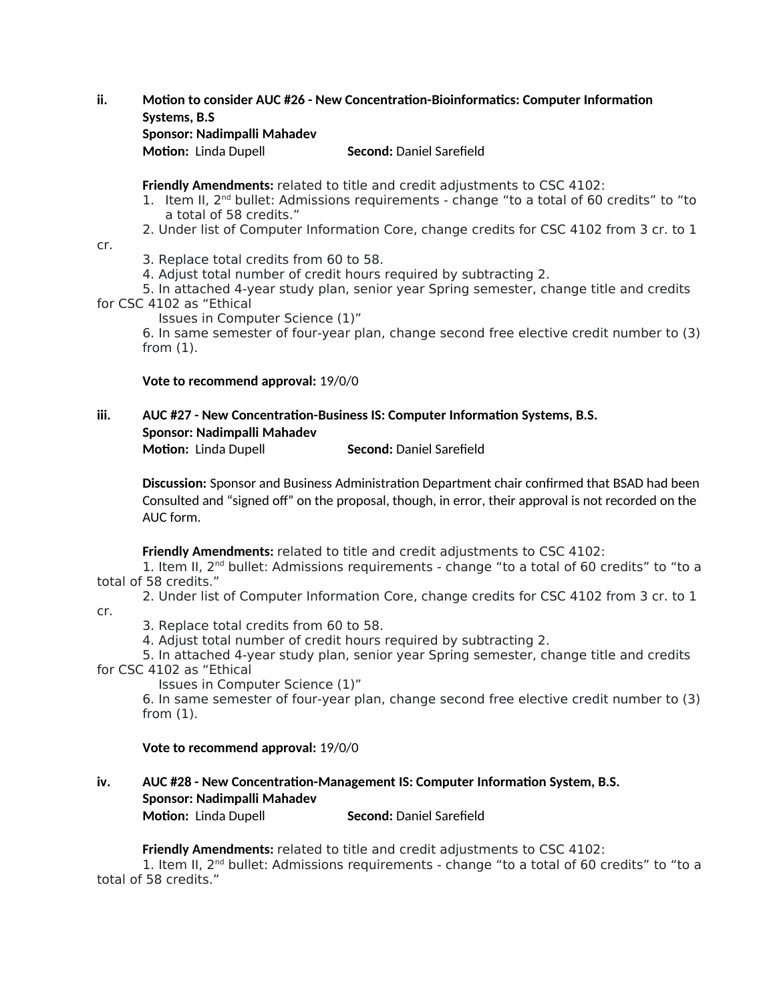#### **ii. Motion to consider AUC #26 - New Concentration-Bioinformatics: Computer Information Systems, B.S**

#### **Sponsor: Nadimpalli Mahadev**

**Motion:** Linda Dupell **Second:** Daniel Sarefield

**Friendly Amendments:** related to title and credit adjustments to CSC 4102:

- 1. Item II,  $2<sup>nd</sup>$  bullet: Admissions requirements change "to a total of 60 credits" to "to a total of 58 credits."
- 2. Under list of Computer Information Core, change credits for CSC 4102 from 3 cr. to 1
- cr.
- 3. Replace total credits from 60 to 58.
- 4. Adjust total number of credit hours required by subtracting 2.

5. In attached 4-year study plan, senior year Spring semester, change title and credits

for CSC 4102 as "Ethical

Issues in Computer Science (1)"

6. In same semester of four-year plan, change second free elective credit number to (3) from (1).

**Vote to recommend approval:** 19/0/0

#### **iii. AUC #27 - New Concentration-Business IS: Computer Information Systems, B.S. Sponsor: Nadimpalli Mahadev Motion:** Linda Dupell **Second:** Daniel Sarefield

**Discussion:** Sponsor and Business Administration Department chair confirmed that BSAD had been Consulted and "signed off" on the proposal, though, in error, their approval is not recorded on the AUC form.

**Friendly Amendments:** related to title and credit adjustments to CSC 4102:

1. Item II,  $2<sup>nd</sup>$  bullet: Admissions requirements - change "to a total of 60 credits" to "to a total of 58 credits."

2. Under list of Computer Information Core, change credits for CSC 4102 from 3 cr. to 1

cr.

3. Replace total credits from 60 to 58.

4. Adjust total number of credit hours required by subtracting 2.

5. In attached 4-year study plan, senior year Spring semester, change title and credits for CSC 4102 as "Ethical

Issues in Computer Science (1)"

6. In same semester of four-year plan, change second free elective credit number to (3) from (1).

#### **Vote to recommend approval:** 19/0/0

## **iv. AUC #28 - New Concentration-Management IS: Computer Information System, B.S. Sponsor: Nadimpalli Mahadev**

**Motion:** Linda Dupell **Second:** Daniel Sarefield

**Friendly Amendments:** related to title and credit adjustments to CSC 4102:

1. Item II, 2nd bullet: Admissions requirements - change "to a total of 60 credits" to "to a total of 58 credits."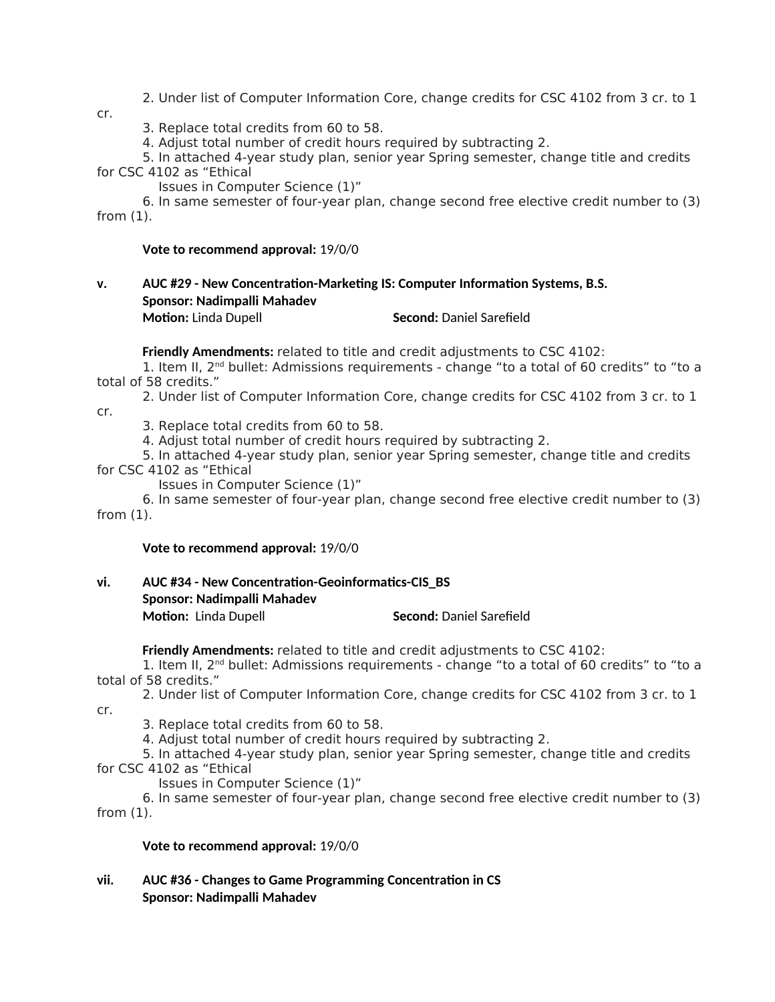- 2. Under list of Computer Information Core, change credits for CSC 4102 from 3 cr. to 1
- cr.
- 3. Replace total credits from 60 to 58.

4. Adjust total number of credit hours required by subtracting 2.

5. In attached 4-year study plan, senior year Spring semester, change title and credits for CSC 4102 as "Ethical

Issues in Computer Science (1)"

6. In same semester of four-year plan, change second free elective credit number to (3) from (1).

#### **Vote to recommend approval:** 19/0/0

# **v. AUC #29 - New Concentration-Marketing IS: Computer Information Systems, B.S. Sponsor: Nadimpalli Mahadev**

**Motion:** Linda Dupell **Second:** Daniel Sarefield

**Friendly Amendments:** related to title and credit adjustments to CSC 4102: 1. Item II, 2<sup>nd</sup> bullet: Admissions requirements - change "to a total of 60 credits" to "to a total of 58 credits."

2. Under list of Computer Information Core, change credits for CSC 4102 from 3 cr. to 1 cr.

3. Replace total credits from 60 to 58.

4. Adjust total number of credit hours required by subtracting 2.

5. In attached 4-year study plan, senior year Spring semester, change title and credits for CSC 4102 as "Ethical

Issues in Computer Science (1)"

6. In same semester of four-year plan, change second free elective credit number to (3) from (1).

#### **Vote to recommend approval:** 19/0/0

#### **vi. AUC #34 - New Concentration-Geoinformatics-CIS\_BS Sponsor: Nadimpalli Mahadev Motion:** Linda Dupell **Second:** Daniel Sarefield

**Friendly Amendments:** related to title and credit adjustments to CSC 4102:

1. Item II,  $2<sup>nd</sup>$  bullet: Admissions requirements - change "to a total of 60 credits" to "to a total of 58 credits."

2. Under list of Computer Information Core, change credits for CSC 4102 from 3 cr. to 1 cr.

3. Replace total credits from 60 to 58.

4. Adjust total number of credit hours required by subtracting 2.

5. In attached 4-year study plan, senior year Spring semester, change title and credits for CSC 4102 as "Ethical

Issues in Computer Science (1)"

6. In same semester of four-year plan, change second free elective credit number to (3) from (1).

**Vote to recommend approval:** 19/0/0

#### **vii. AUC #36 - Changes to Game Programming Concentration in CS Sponsor: Nadimpalli Mahadev**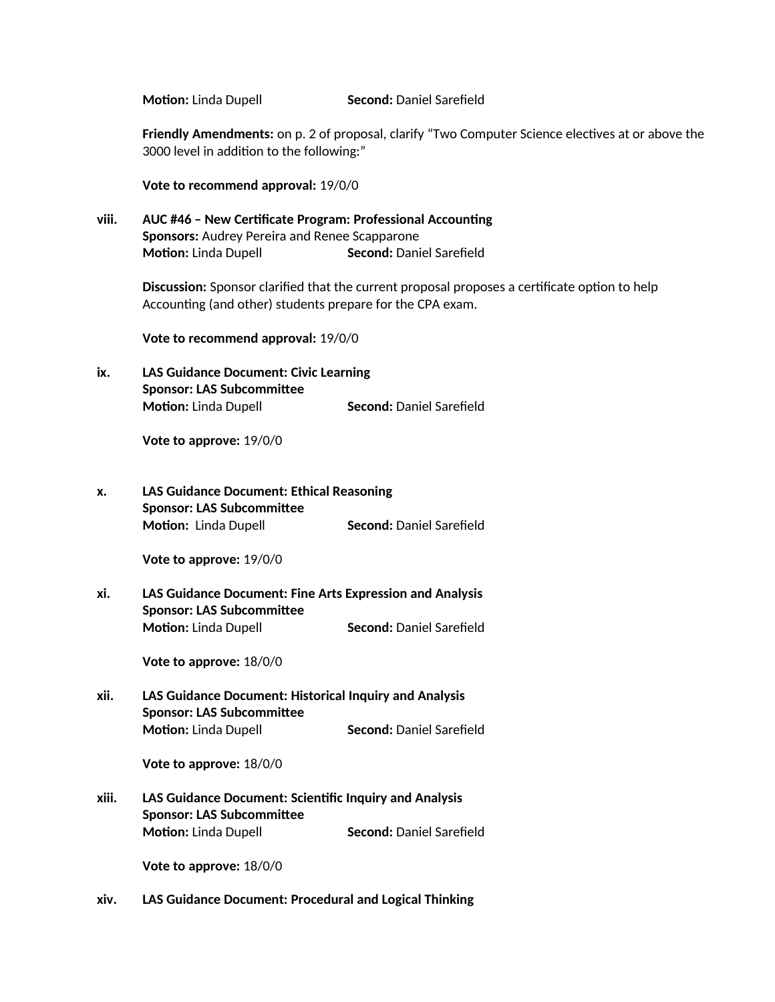**Motion:** Linda Dupell **Second:** Daniel Sarefield

**Friendly Amendments:** on p. 2 of proposal, clarify "Two Computer Science electives at or above the 3000 level in addition to the following:"

**Vote to recommend approval:** 19/0/0

**viii. AUC #46 – New Certificate Program: Professional Accounting Sponsors:** Audrey Pereira and Renee Scapparone **Motion:** Linda Dupell **Second:** Daniel Sarefield

> **Discussion:** Sponsor clarified that the current proposal proposes a certificate option to help Accounting (and other) students prepare for the CPA exam.

**Vote to recommend approval:** 19/0/0

**ix. LAS Guidance Document: Civic Learning Sponsor: LAS Subcommittee Motion:** Linda Dupell **Second:** Daniel Sarefield

**Vote to approve:** 19/0/0

**x. LAS Guidance Document: Ethical Reasoning Sponsor: LAS Subcommittee Motion:** Linda Dupell **Second:** Daniel Sarefield

**Vote to approve:** 19/0/0

**xi. LAS Guidance Document: Fine Arts Expression and Analysis Sponsor: LAS Subcommittee Motion:** Linda Dupell **Second:** Daniel Sarefield

**Vote to approve:** 18/0/0

**xii. LAS Guidance Document: Historical Inquiry and Analysis Sponsor: LAS Subcommittee Motion:** Linda Dupell **Second:** Daniel Sarefield

**Vote to approve:** 18/0/0

**xiii. LAS Guidance Document: Scientific Inquiry and Analysis Sponsor: LAS Subcommittee Motion:** Linda Dupell **Second:** Daniel Sarefield

**Vote to approve:** 18/0/0

**xiv. LAS Guidance Document: Procedural and Logical Thinking**